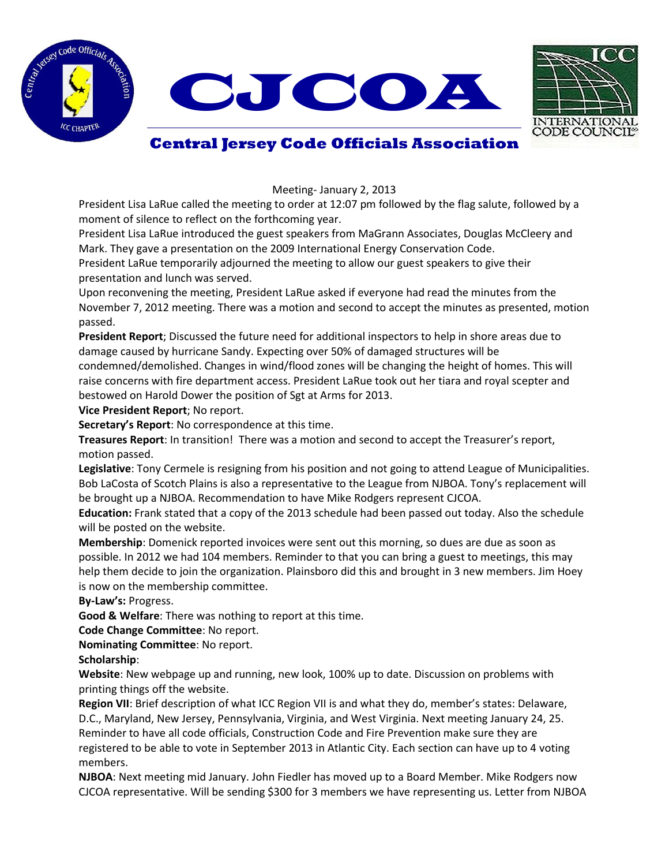





## **Central Jersey Code Officials Association**

Meeting- January 2, 2013

President Lisa LaRue called the meeting to order at 12:07 pm followed by the flag salute, followed by a moment of silence to reflect on the forthcoming year.

President Lisa LaRue introduced the guest speakers from MaGrann Associates, Douglas McCleery and Mark. They gave a presentation on the 2009 International Energy Conservation Code.

President LaRue temporarily adjourned the meeting to allow our guest speakers to give their presentation and lunch was served.

Upon reconvening the meeting, President LaRue asked if everyone had read the minutes from the November 7, 2012 meeting. There was a motion and second to accept the minutes as presented, motion passed.

**President Report**; Discussed the future need for additional inspectors to help in shore areas due to damage caused by hurricane Sandy. Expecting over 50% of damaged structures will be condemned/demolished. Changes in wind/flood zones will be changing the height of homes. This will raise concerns with fire department access. President LaRue took out her tiara and royal scepter and bestowed on Harold Dower the position of Sgt at Arms for 2013.

**Vice President Report**; No report.

**Secretary's Report**: No correspondence at this time.

**Treasures Report**: In transition! There was a motion and second to accept the Treasurer's report, motion passed.

**Legislative**: Tony Cermele is resigning from his position and not going to attend League of Municipalities. Bob LaCosta of Scotch Plains is also a representative to the League from NJBOA. Tony's replacement will be brought up a NJBOA. Recommendation to have Mike Rodgers represent CJCOA.

**Education:** Frank stated that a copy of the 2013 schedule had been passed out today. Also the schedule will be posted on the website.

**Membership**: Domenick reported invoices were sent out this morning, so dues are due as soon as possible. In 2012 we had 104 members. Reminder to that you can bring a guest to meetings, this may help them decide to join the organization. Plainsboro did this and brought in 3 new members. Jim Hoey is now on the membership committee.

**By-Law's:** Progress.

**Good & Welfare**: There was nothing to report at this time.

**Code Change Committee**: No report.

**Nominating Committee**: No report.

**Scholarship**:

**Website**: New webpage up and running, new look, 100% up to date. Discussion on problems with printing things off the website.

**Region VII**: Brief description of what ICC Region VII is and what they do, member's states: Delaware, D.C., Maryland, New Jersey, Pennsylvania, Virginia, and West Virginia. Next meeting January 24, 25. Reminder to have all code officials, Construction Code and Fire Prevention make sure they are registered to be able to vote in September 2013 in Atlantic City. Each section can have up to 4 voting members.

**NJBOA**: Next meeting mid January. John Fiedler has moved up to a Board Member. Mike Rodgers now CJCOA representative. Will be sending \$300 for 3 members we have representing us. Letter from NJBOA